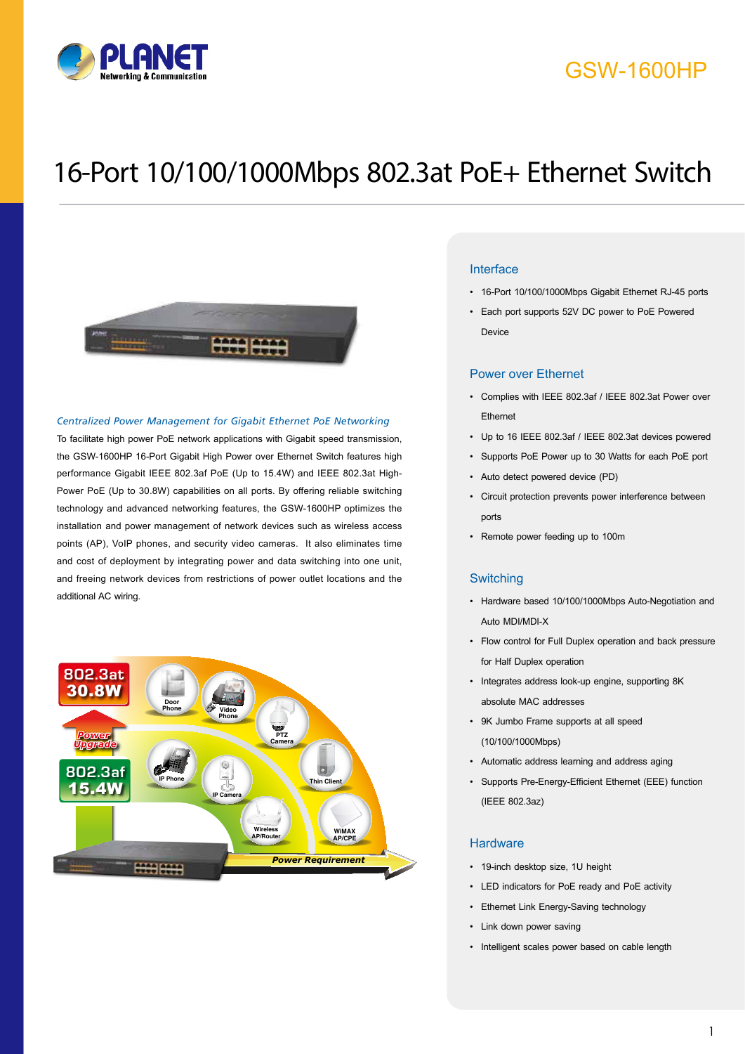

## GSW-1600HP

# 16-Port 10/100/1000Mbps 802.3at PoE+ Ethernet Switch



#### *Centralized Power Management for Gigabit Ethernet PoE Networking*

To facilitate high power PoE network applications with Gigabit speed transmission, the GSW-1600HP 16-Port Gigabit High Power over Ethernet Switch features high performance Gigabit IEEE 802.3af PoE (Up to 15.4W) and IEEE 802.3at High-Power PoE (Up to 30.8W) capabilities on all ports. By offering reliable switching technology and advanced networking features, the GSW-1600HP optimizes the installation and power management of network devices such as wireless access points (AP), VoIP phones, and security video cameras. It also eliminates time and cost of deployment by integrating power and data switching into one unit, and freeing network devices from restrictions of power outlet locations and the additional AC wiring.



### Interface

- • 16-Port 10/100/1000Mbps Gigabit Ethernet RJ-45 ports
- • Each port supports 52V DC power to PoE Powered Device

#### Power over Ethernet

- • Complies with IEEE 802.3af / IEEE 802.3at Power over Ethernet
- • Up to 16 IEEE 802.3af / IEEE 802.3at devices powered
- • Supports PoE Power up to 30 Watts for each PoE port
- • Auto detect powered device (PD)
- • Circuit protection prevents power interference between ports
- • Remote power feeding up to 100m

#### **Switching**

- • Hardware based 10/100/1000Mbps Auto-Negotiation and Auto MDI/MDI-X
- • Flow control for Full Duplex operation and back pressure for Half Duplex operation
- • Integrates address look-up engine, supporting 8K absolute MAC addresses
- • 9K Jumbo Frame supports at all speed (10/100/1000Mbps)
- • Automatic address learning and address aging
- • Supports Pre-Energy-Efficient Ethernet (EEE) function (IEEE 802.3az)

#### **Hardware**

- • 19-inch desktop size, 1U height
- • LED indicators for PoE ready and PoE activity
- **Ethernet Link Energy-Saving technology**
- Link down power saving
- • Intelligent scales power based on cable length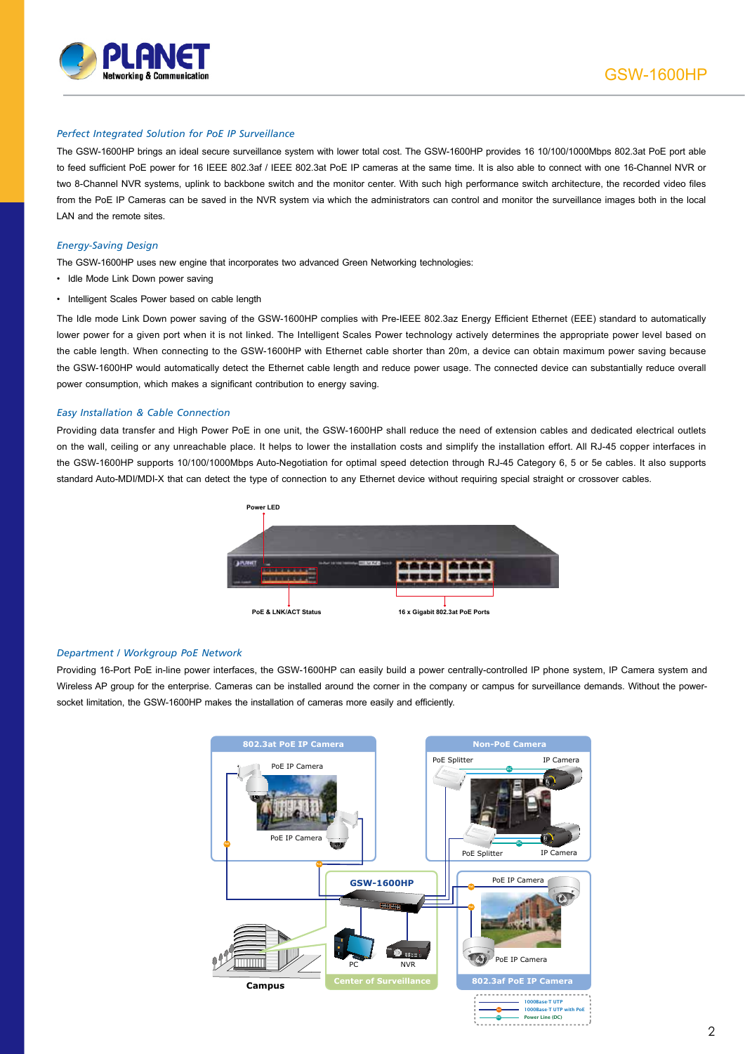

#### *Perfect Integrated Solution for PoE IP Surveillance*

The GSW-1600HP brings an ideal secure surveillance system with lower total cost. The GSW-1600HP provides 16 10/100/1000Mbps 802.3at PoE port able to feed sufficient PoE power for 16 IEEE 802.3af / IEEE 802.3at PoE IP cameras at the same time. It is also able to connect with one 16-Channel NVR or two 8-Channel NVR systems, uplink to backbone switch and the monitor center. With such high performance switch architecture, the recorded video files from the PoE IP Cameras can be saved in the NVR system via which the administrators can control and monitor the surveillance images both in the local LAN and the remote sites.

#### *Energy-Saving Design*

- The GSW-1600HP uses new engine that incorporates two advanced Green Networking technologies:
- Idle Mode Link Down power saving
- Intelligent Scales Power based on cable length

The Idle mode Link Down power saving of the GSW-1600HP complies with Pre-IEEE 802.3az Energy Efficient Ethernet (EEE) standard to automatically lower power for a given port when it is not linked. The Intelligent Scales Power technology actively determines the appropriate power level based on the cable length. When connecting to the GSW-1600HP with Ethernet cable shorter than 20m, a device can obtain maximum power saving because the GSW-1600HP would automatically detect the Ethernet cable length and reduce power usage. The connected device can substantially reduce overall power consumption, which makes a significant contribution to energy saving.

#### *Easy Installation & Cable Connection*

Providing data transfer and High Power PoE in one unit, the GSW-1600HP shall reduce the need of extension cables and dedicated electrical outlets on the wall, ceiling or any unreachable place. It helps to lower the installation costs and simplify the installation effort. All RJ-45 copper interfaces in the GSW-1600HP supports 10/100/1000Mbps Auto-Negotiation for optimal speed detection through RJ-45 Category 6, 5 or 5e cables. It also supports standard Auto-MDI/MDI-X that can detect the type of connection to any Ethernet device without requiring special straight or crossover cables.



#### *Department / Workgroup PoE Network*

Providing 16-Port PoE in-line power interfaces, the GSW-1600HP can easily build a power centrally-controlled IP phone system, IP Camera system and Wireless AP group for the enterprise. Cameras can be installed around the corner in the company or campus for surveillance demands. Without the powersocket limitation, the GSW-1600HP makes the installation of cameras more easily and efficiently.

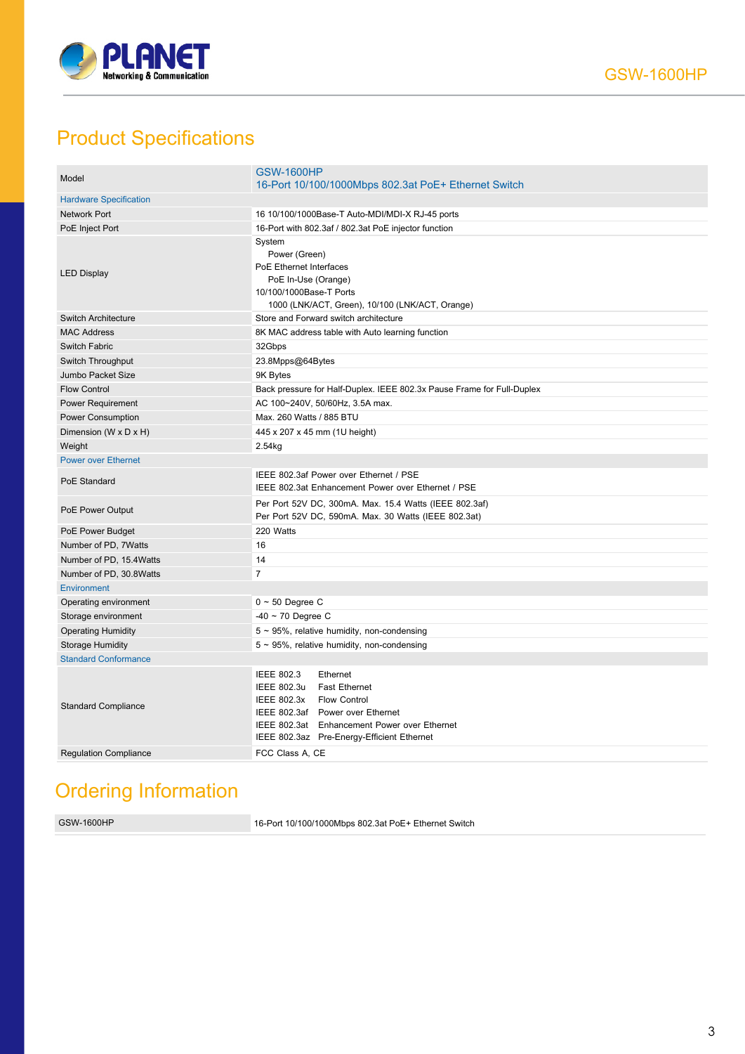

# Product Specifications

| Model                         | <b>GSW-1600HP</b><br>16-Port 10/100/1000Mbps 802.3at PoE+ Ethernet Switch                                                                                                                                                                           |
|-------------------------------|-----------------------------------------------------------------------------------------------------------------------------------------------------------------------------------------------------------------------------------------------------|
| <b>Hardware Specification</b> |                                                                                                                                                                                                                                                     |
| <b>Network Port</b>           | 16 10/100/1000Base-T Auto-MDI/MDI-X RJ-45 ports                                                                                                                                                                                                     |
| PoE Inject Port               | 16-Port with 802.3af / 802.3at PoE injector function                                                                                                                                                                                                |
| <b>LED Display</b>            | System<br>Power (Green)<br>PoE Ethernet Interfaces<br>PoE In-Use (Orange)<br>10/100/1000Base-T Ports<br>1000 (LNK/ACT, Green), 10/100 (LNK/ACT, Orange)                                                                                             |
| <b>Switch Architecture</b>    | Store and Forward switch architecture                                                                                                                                                                                                               |
| <b>MAC Address</b>            | 8K MAC address table with Auto learning function                                                                                                                                                                                                    |
| <b>Switch Fabric</b>          | 32Gbps                                                                                                                                                                                                                                              |
| Switch Throughput             | 23.8Mpps@64Bytes                                                                                                                                                                                                                                    |
| Jumbo Packet Size             | 9K Bytes                                                                                                                                                                                                                                            |
| <b>Flow Control</b>           | Back pressure for Half-Duplex. IEEE 802.3x Pause Frame for Full-Duplex                                                                                                                                                                              |
| <b>Power Requirement</b>      | AC 100~240V, 50/60Hz, 3.5A max.                                                                                                                                                                                                                     |
| Power Consumption             | Max. 260 Watts / 885 BTU                                                                                                                                                                                                                            |
| Dimension (W x D x H)         | 445 x 207 x 45 mm (1U height)                                                                                                                                                                                                                       |
| Weight                        | 2.54kg                                                                                                                                                                                                                                              |
| <b>Power over Ethernet</b>    |                                                                                                                                                                                                                                                     |
| PoE Standard                  | IEEE 802.3af Power over Ethernet / PSE<br>IEEE 802.3at Enhancement Power over Ethernet / PSE                                                                                                                                                        |
| PoE Power Output              | Per Port 52V DC, 300mA. Max. 15.4 Watts (IEEE 802.3af)<br>Per Port 52V DC, 590mA. Max. 30 Watts (IEEE 802.3at)                                                                                                                                      |
| PoE Power Budget              | 220 Watts                                                                                                                                                                                                                                           |
| Number of PD, 7Watts          | 16                                                                                                                                                                                                                                                  |
| Number of PD, 15.4Watts       | 14                                                                                                                                                                                                                                                  |
| Number of PD, 30.8Watts       | $\overline{7}$                                                                                                                                                                                                                                      |
| <b>Environment</b>            |                                                                                                                                                                                                                                                     |
| Operating environment         | $0 \sim 50$ Degree C                                                                                                                                                                                                                                |
| Storage environment           | $-40 \sim 70$ Degree C                                                                                                                                                                                                                              |
| <b>Operating Humidity</b>     | $5 \sim 95\%$ , relative humidity, non-condensing                                                                                                                                                                                                   |
| <b>Storage Humidity</b>       | $5 \sim 95\%$ , relative humidity, non-condensing                                                                                                                                                                                                   |
| <b>Standard Conformance</b>   |                                                                                                                                                                                                                                                     |
| <b>Standard Compliance</b>    | <b>IEEE 802.3</b><br>Ethernet<br>IEEE 802.3u<br><b>Fast Ethernet</b><br><b>IEEE 802.3x</b><br><b>Flow Control</b><br>IEEE 802.3af Power over Ethernet<br>IEEE 802.3at Enhancement Power over Ethernet<br>IEEE 802.3az Pre-Energy-Efficient Ethernet |
| <b>Regulation Compliance</b>  | FCC Class A, CE                                                                                                                                                                                                                                     |

# Ordering Information

GSW-1600HP 16-Port 10/100/1000Mbps 802.3at PoE+ Ethernet Switch